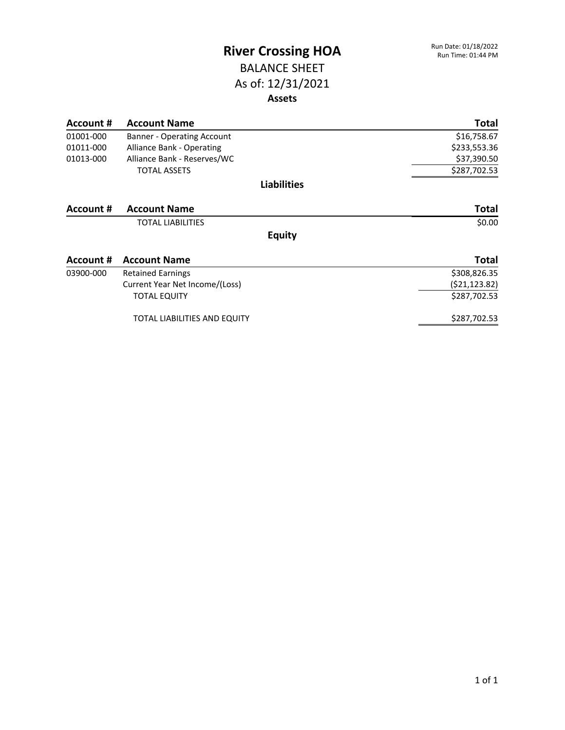### BALANCE SHEET As of: 12/31/2021 **Assets**

| Account # | <b>Account Name</b>              | <b>Total</b>    |
|-----------|----------------------------------|-----------------|
| 01001-000 | Banner - Operating Account       | \$16,758.67     |
| 01011-000 | <b>Alliance Bank - Operating</b> | \$233,553.36    |
| 01013-000 | Alliance Bank - Reserves/WC      | \$37,390.50     |
|           | <b>TOTAL ASSETS</b>              | \$287,702.53    |
|           | <b>Liabilities</b>               |                 |
| Account # | <b>Account Name</b>              | <b>Total</b>    |
|           | <b>TOTAL LIABILITIES</b>         | \$0.00          |
|           | <b>Equity</b>                    |                 |
| Account # | <b>Account Name</b>              | <b>Total</b>    |
| 03900-000 | <b>Retained Earnings</b>         | \$308,826.35    |
|           | Current Year Net Income/(Loss)   | ( \$21, 123.82) |
|           | <b>TOTAL EQUITY</b>              | \$287,702.53    |
|           | TOTAL LIABILITIES AND EQUITY     | \$287,702.53    |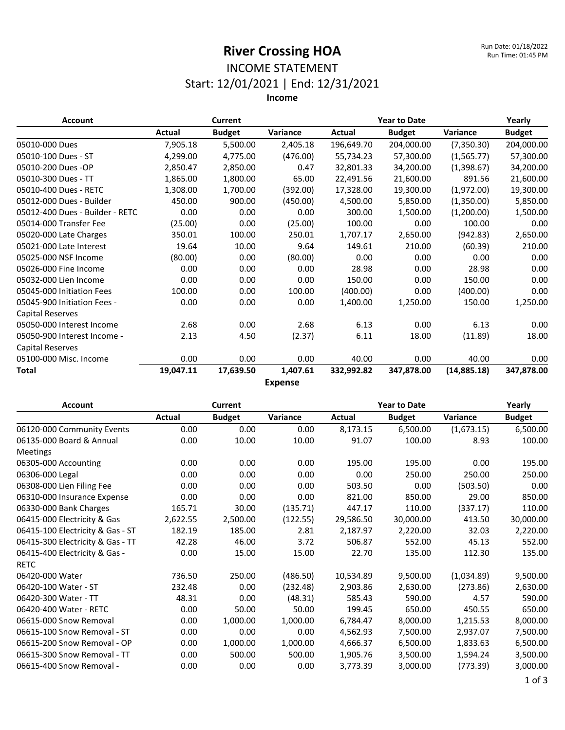### INCOME STATEMENT Start: 12/01/2021 | End: 12/31/2021

**Income**

| <b>Account</b>                  |           | Current       |                 |            | <b>Year to Date</b> |             | Yearly        |
|---------------------------------|-----------|---------------|-----------------|------------|---------------------|-------------|---------------|
|                                 | Actual    | <b>Budget</b> | <b>Variance</b> | Actual     | <b>Budget</b>       | Variance    | <b>Budget</b> |
| 05010-000 Dues                  | 7,905.18  | 5,500.00      | 2,405.18        | 196,649.70 | 204,000.00          | (7,350.30)  | 204,000.00    |
| 05010-100 Dues - ST             | 4,299.00  | 4,775.00      | (476.00)        | 55,734.23  | 57,300.00           | (1, 565.77) | 57,300.00     |
| 05010-200 Dues -OP              | 2,850.47  | 2,850.00      | 0.47            | 32,801.33  | 34,200.00           | (1,398.67)  | 34,200.00     |
| 05010-300 Dues - TT             | 1,865.00  | 1,800.00      | 65.00           | 22,491.56  | 21,600.00           | 891.56      | 21,600.00     |
| 05010-400 Dues - RETC           | 1,308.00  | 1,700.00      | (392.00)        | 17,328.00  | 19,300.00           | (1,972.00)  | 19,300.00     |
| 05012-000 Dues - Builder        | 450.00    | 900.00        | (450.00)        | 4,500.00   | 5,850.00            | (1,350.00)  | 5,850.00      |
| 05012-400 Dues - Builder - RETC | 0.00      | 0.00          | 0.00            | 300.00     | 1,500.00            | (1,200.00)  | 1,500.00      |
| 05014-000 Transfer Fee          | (25.00)   | 0.00          | (25.00)         | 100.00     | 0.00                | 100.00      | 0.00          |
| 05020-000 Late Charges          | 350.01    | 100.00        | 250.01          | 1,707.17   | 2,650.00            | (942.83)    | 2,650.00      |
| 05021-000 Late Interest         | 19.64     | 10.00         | 9.64            | 149.61     | 210.00              | (60.39)     | 210.00        |
| 05025-000 NSF Income            | (80.00)   | 0.00          | (80.00)         | 0.00       | 0.00                | 0.00        | 0.00          |
| 05026-000 Fine Income           | 0.00      | 0.00          | 0.00            | 28.98      | 0.00                | 28.98       | 0.00          |
| 05032-000 Lien Income           | 0.00      | 0.00          | 0.00            | 150.00     | 0.00                | 150.00      | 0.00          |
| 05045-000 Initiation Fees       | 100.00    | 0.00          | 100.00          | (400.00)   | 0.00                | (400.00)    | 0.00          |
| 05045-900 Initiation Fees -     | 0.00      | 0.00          | 0.00            | 1,400.00   | 1,250.00            | 150.00      | 1,250.00      |
| Capital Reserves                |           |               |                 |            |                     |             |               |
| 05050-000 Interest Income       | 2.68      | 0.00          | 2.68            | 6.13       | 0.00                | 6.13        | 0.00          |
| 05050-900 Interest Income -     | 2.13      | 4.50          | (2.37)          | 6.11       | 18.00               | (11.89)     | 18.00         |
| Capital Reserves                |           |               |                 |            |                     |             |               |
| 05100-000 Misc. Income          | 0.00      | 0.00          | 0.00            | 40.00      | 0.00                | 40.00       | 0.00          |
| Total                           | 19,047.11 | 17,639.50     | 1,407.61        | 332,992.82 | 347,878.00          | (14,885.18) | 347,878.00    |
|                                 |           |               | <b>Evnanca</b>  |            |                     |             |               |

**Expense**

| <b>Account</b>                   | <b>Current</b> |               |          | <b>Year to Date</b> |               |            | Yearly        |
|----------------------------------|----------------|---------------|----------|---------------------|---------------|------------|---------------|
|                                  | <b>Actual</b>  | <b>Budget</b> | Variance | Actual              | <b>Budget</b> | Variance   | <b>Budget</b> |
| 06120-000 Community Events       | 0.00           | 0.00          | 0.00     | 8,173.15            | 6,500.00      | (1,673.15) | 6,500.00      |
| 06135-000 Board & Annual         | 0.00           | 10.00         | 10.00    | 91.07               | 100.00        | 8.93       | 100.00        |
| <b>Meetings</b>                  |                |               |          |                     |               |            |               |
| 06305-000 Accounting             | 0.00           | 0.00          | 0.00     | 195.00              | 195.00        | 0.00       | 195.00        |
| 06306-000 Legal                  | 0.00           | 0.00          | 0.00     | 0.00                | 250.00        | 250.00     | 250.00        |
| 06308-000 Lien Filing Fee        | 0.00           | 0.00          | 0.00     | 503.50              | 0.00          | (503.50)   | 0.00          |
| 06310-000 Insurance Expense      | 0.00           | 0.00          | 0.00     | 821.00              | 850.00        | 29.00      | 850.00        |
| 06330-000 Bank Charges           | 165.71         | 30.00         | (135.71) | 447.17              | 110.00        | (337.17)   | 110.00        |
| 06415-000 Electricity & Gas      | 2,622.55       | 2,500.00      | (122.55) | 29,586.50           | 30,000.00     | 413.50     | 30,000.00     |
| 06415-100 Electricity & Gas - ST | 182.19         | 185.00        | 2.81     | 2,187.97            | 2,220.00      | 32.03      | 2,220.00      |
| 06415-300 Electricity & Gas - TT | 42.28          | 46.00         | 3.72     | 506.87              | 552.00        | 45.13      | 552.00        |
| 06415-400 Electricity & Gas -    | 0.00           | 15.00         | 15.00    | 22.70               | 135.00        | 112.30     | 135.00        |
| <b>RETC</b>                      |                |               |          |                     |               |            |               |
| 06420-000 Water                  | 736.50         | 250.00        | (486.50) | 10,534.89           | 9,500.00      | (1,034.89) | 9,500.00      |
| 06420-100 Water - ST             | 232.48         | 0.00          | (232.48) | 2,903.86            | 2,630.00      | (273.86)   | 2,630.00      |
| 06420-300 Water - TT             | 48.31          | 0.00          | (48.31)  | 585.43              | 590.00        | 4.57       | 590.00        |
| 06420-400 Water - RETC           | 0.00           | 50.00         | 50.00    | 199.45              | 650.00        | 450.55     | 650.00        |
| 06615-000 Snow Removal           | 0.00           | 1,000.00      | 1,000.00 | 6,784.47            | 8,000.00      | 1,215.53   | 8,000.00      |
| 06615-100 Snow Removal - ST      | 0.00           | 0.00          | 0.00     | 4,562.93            | 7,500.00      | 2,937.07   | 7,500.00      |
| 06615-200 Snow Removal - OP      | 0.00           | 1,000.00      | 1,000.00 | 4,666.37            | 6,500.00      | 1,833.63   | 6,500.00      |
| 06615-300 Snow Removal - TT      | 0.00           | 500.00        | 500.00   | 1,905.76            | 3,500.00      | 1,594.24   | 3,500.00      |
| 06615-400 Snow Removal -         | 0.00           | 0.00          | 0.00     | 3,773.39            | 3,000.00      | (773.39)   | 3,000.00      |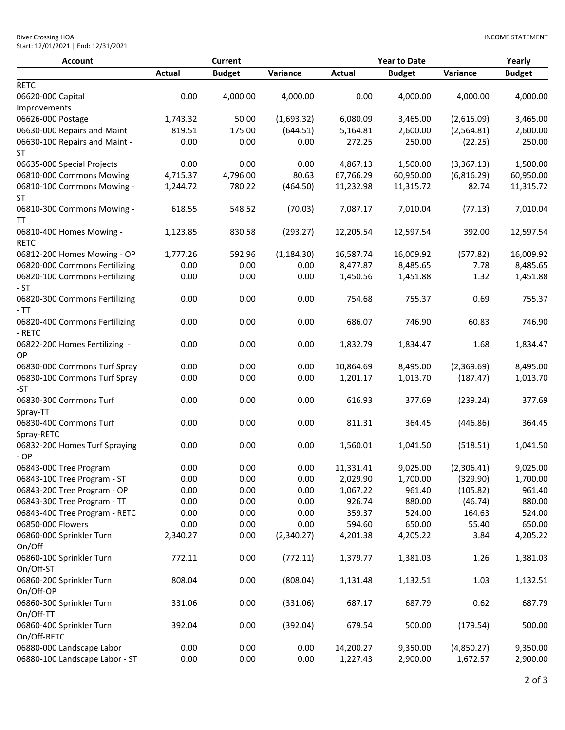| <b>River Crossing HOA</b>           |
|-------------------------------------|
| Start: 12/01/2021   End: 12/31/2021 |

| <b>Account</b>                          |               | <b>Current</b> |             |               | <b>Year to Date</b> |            |               |
|-----------------------------------------|---------------|----------------|-------------|---------------|---------------------|------------|---------------|
|                                         | <b>Actual</b> | <b>Budget</b>  | Variance    | <b>Actual</b> | <b>Budget</b>       | Variance   | <b>Budget</b> |
| <b>RETC</b>                             |               |                |             |               |                     |            |               |
| 06620-000 Capital                       | 0.00          | 4,000.00       | 4,000.00    | 0.00          | 4,000.00            | 4,000.00   | 4,000.00      |
| Improvements                            |               |                |             |               |                     |            |               |
| 06626-000 Postage                       | 1,743.32      | 50.00          | (1,693.32)  | 6,080.09      | 3,465.00            | (2,615.09) | 3,465.00      |
| 06630-000 Repairs and Maint             | 819.51        | 175.00         | (644.51)    | 5,164.81      | 2,600.00            | (2,564.81) | 2,600.00      |
| 06630-100 Repairs and Maint -           | 0.00          | 0.00           | 0.00        | 272.25        | 250.00              | (22.25)    | 250.00        |
| ST                                      |               |                |             |               |                     |            |               |
| 06635-000 Special Projects              | 0.00          | 0.00           | 0.00        | 4,867.13      | 1,500.00            | (3,367.13) | 1,500.00      |
| 06810-000 Commons Mowing                | 4,715.37      | 4,796.00       | 80.63       | 67,766.29     | 60,950.00           | (6,816.29) | 60,950.00     |
| 06810-100 Commons Mowing -<br><b>ST</b> | 1,244.72      | 780.22         | (464.50)    | 11,232.98     | 11,315.72           | 82.74      | 11,315.72     |
| 06810-300 Commons Mowing -<br>TΤ        | 618.55        | 548.52         | (70.03)     | 7,087.17      | 7,010.04            | (77.13)    | 7,010.04      |
| 06810-400 Homes Mowing -<br><b>RETC</b> | 1,123.85      | 830.58         | (293.27)    | 12,205.54     | 12,597.54           | 392.00     | 12,597.54     |
| 06812-200 Homes Mowing - OP             | 1,777.26      | 592.96         | (1, 184.30) | 16,587.74     | 16,009.92           | (577.82)   | 16,009.92     |
| 06820-000 Commons Fertilizing           | 0.00          | 0.00           | 0.00        | 8,477.87      | 8,485.65            | 7.78       | 8,485.65      |
| 06820-100 Commons Fertilizing<br>$-ST$  | 0.00          | 0.00           | 0.00        | 1,450.56      | 1,451.88            | 1.32       | 1,451.88      |
| 06820-300 Commons Fertilizing<br>$-TT$  | 0.00          | 0.00           | 0.00        | 754.68        | 755.37              | 0.69       | 755.37        |
| 06820-400 Commons Fertilizing<br>- RETC | 0.00          | 0.00           | 0.00        | 686.07        | 746.90              | 60.83      | 746.90        |
| 06822-200 Homes Fertilizing -<br>OP     | 0.00          | 0.00           | 0.00        | 1,832.79      | 1,834.47            | 1.68       | 1,834.47      |
| 06830-000 Commons Turf Spray            | 0.00          | 0.00           | 0.00        | 10,864.69     | 8,495.00            | (2,369.69) | 8,495.00      |
| 06830-100 Commons Turf Spray<br>-ST     | 0.00          | 0.00           | 0.00        | 1,201.17      | 1,013.70            | (187.47)   | 1,013.70      |
| 06830-300 Commons Turf<br>Spray-TT      | 0.00          | 0.00           | 0.00        | 616.93        | 377.69              | (239.24)   | 377.69        |
| 06830-400 Commons Turf<br>Spray-RETC    | 0.00          | 0.00           | 0.00        | 811.31        | 364.45              | (446.86)   | 364.45        |
| 06832-200 Homes Turf Spraying<br>$-OP$  | 0.00          | 0.00           | 0.00        | 1,560.01      | 1,041.50            | (518.51)   | 1,041.50      |
| 06843-000 Tree Program                  | 0.00          | 0.00           | 0.00        | 11,331.41     | 9,025.00            | (2,306.41) | 9,025.00      |
| 06843-100 Tree Program - ST             | 0.00          | 0.00           | 0.00        | 2,029.90      | 1,700.00            | (329.90)   | 1,700.00      |
| 06843-200 Tree Program - OP             | 0.00          | 0.00           | 0.00        | 1,067.22      | 961.40              | (105.82)   | 961.40        |
| 06843-300 Tree Program - TT             | 0.00          | 0.00           | 0.00        | 926.74        | 880.00              | (46.74)    | 880.00        |
| 06843-400 Tree Program - RETC           | 0.00          | 0.00           | 0.00        | 359.37        | 524.00              | 164.63     | 524.00        |
| 06850-000 Flowers                       | 0.00          | 0.00           | 0.00        | 594.60        | 650.00              | 55.40      | 650.00        |
| 06860-000 Sprinkler Turn<br>On/Off      | 2,340.27      | 0.00           | (2,340.27)  | 4,201.38      | 4,205.22            | 3.84       | 4,205.22      |
| 06860-100 Sprinkler Turn<br>On/Off-ST   | 772.11        | 0.00           | (772.11)    | 1,379.77      | 1,381.03            | 1.26       | 1,381.03      |
| 06860-200 Sprinkler Turn<br>On/Off-OP   | 808.04        | 0.00           | (808.04)    | 1,131.48      | 1,132.51            | 1.03       | 1,132.51      |
| 06860-300 Sprinkler Turn<br>On/Off-TT   | 331.06        | 0.00           | (331.06)    | 687.17        | 687.79              | 0.62       | 687.79        |
| 06860-400 Sprinkler Turn<br>On/Off-RETC | 392.04        | 0.00           | (392.04)    | 679.54        | 500.00              | (179.54)   | 500.00        |
| 06880-000 Landscape Labor               | 0.00          | 0.00           | 0.00        | 14,200.27     | 9,350.00            | (4,850.27) | 9,350.00      |
| 06880-100 Landscape Labor - ST          | 0.00          | 0.00           | 0.00        | 1,227.43      | 2,900.00            | 1,672.57   | 2,900.00      |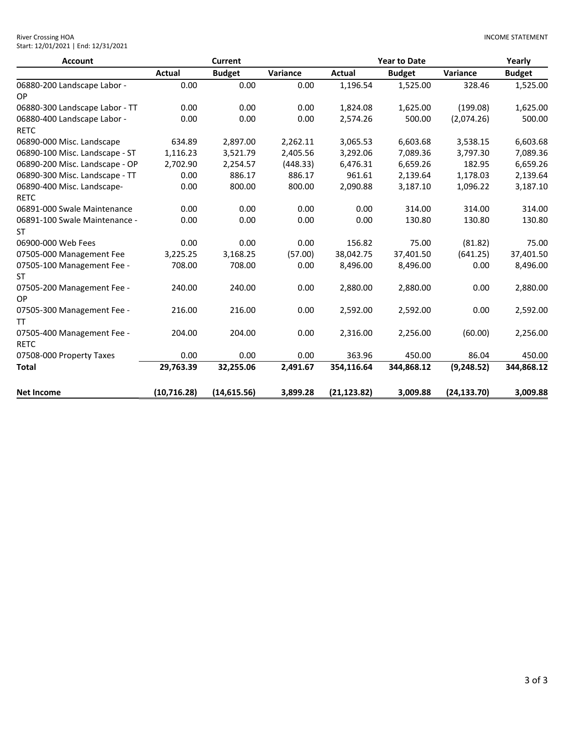| <b>Account</b>                             | Current      |               |          |               | <b>Year to Date</b> | Yearly       |               |
|--------------------------------------------|--------------|---------------|----------|---------------|---------------------|--------------|---------------|
|                                            | Actual       | <b>Budget</b> | Variance | <b>Actual</b> | <b>Budget</b>       | Variance     | <b>Budget</b> |
| 06880-200 Landscape Labor -<br>OP          | 0.00         | 0.00          | 0.00     | 1,196.54      | 1,525.00            | 328.46       | 1,525.00      |
| 06880-300 Landscape Labor - TT             | 0.00         | 0.00          | 0.00     | 1,824.08      | 1,625.00            | (199.08)     | 1,625.00      |
| 06880-400 Landscape Labor -<br><b>RETC</b> | 0.00         | 0.00          | 0.00     | 2,574.26      | 500.00              | (2,074.26)   | 500.00        |
| 06890-000 Misc. Landscape                  | 634.89       | 2,897.00      | 2,262.11 | 3,065.53      | 6,603.68            | 3,538.15     | 6,603.68      |
| 06890-100 Misc. Landscape - ST             | 1,116.23     | 3,521.79      | 2,405.56 | 3,292.06      | 7,089.36            | 3,797.30     | 7,089.36      |
| 06890-200 Misc. Landscape - OP             | 2,702.90     | 2,254.57      | (448.33) | 6,476.31      | 6,659.26            | 182.95       | 6,659.26      |
| 06890-300 Misc. Landscape - TT             | 0.00         | 886.17        | 886.17   | 961.61        | 2,139.64            | 1,178.03     | 2,139.64      |
| 06890-400 Misc. Landscape-<br><b>RETC</b>  | 0.00         | 800.00        | 800.00   | 2,090.88      | 3,187.10            | 1,096.22     | 3,187.10      |
| 06891-000 Swale Maintenance                | 0.00         | 0.00          | 0.00     | 0.00          | 314.00              | 314.00       | 314.00        |
| 06891-100 Swale Maintenance -<br><b>ST</b> | 0.00         | 0.00          | 0.00     | 0.00          | 130.80              | 130.80       | 130.80        |
| 06900-000 Web Fees                         | 0.00         | 0.00          | 0.00     | 156.82        | 75.00               | (81.82)      | 75.00         |
| 07505-000 Management Fee                   | 3,225.25     | 3,168.25      | (57.00)  | 38,042.75     | 37,401.50           | (641.25)     | 37,401.50     |
| 07505-100 Management Fee -<br><b>ST</b>    | 708.00       | 708.00        | 0.00     | 8,496.00      | 8,496.00            | 0.00         | 8,496.00      |
| 07505-200 Management Fee -<br><b>OP</b>    | 240.00       | 240.00        | 0.00     | 2,880.00      | 2,880.00            | 0.00         | 2,880.00      |
| 07505-300 Management Fee -<br>TT           | 216.00       | 216.00        | 0.00     | 2,592.00      | 2,592.00            | 0.00         | 2,592.00      |
| 07505-400 Management Fee -<br><b>RETC</b>  | 204.00       | 204.00        | 0.00     | 2,316.00      | 2,256.00            | (60.00)      | 2,256.00      |
| 07508-000 Property Taxes                   | 0.00         | 0.00          | 0.00     | 363.96        | 450.00              | 86.04        | 450.00        |
| <b>Total</b>                               | 29,763.39    | 32,255.06     | 2,491.67 | 354,116.64    | 344,868.12          | (9,248.52)   | 344,868.12    |
| <b>Net Income</b>                          | (10, 716.28) | (14, 615.56)  | 3,899.28 | (21, 123.82)  | 3,009.88            | (24, 133.70) | 3,009.88      |

River Crossing HOA Start: 12/01/2021 | End: 12/31/2021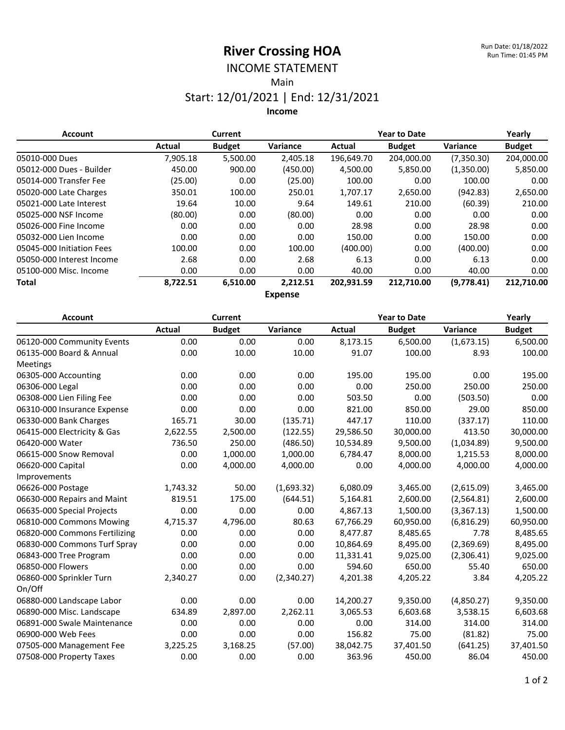# INCOME STATEMENT

Main

### Start: 12/01/2021 | End: 12/31/2021

**Income**

| <b>Account</b>            | <b>Current</b> |               |                | <b>Year to Date</b> |               |            | Yearly        |
|---------------------------|----------------|---------------|----------------|---------------------|---------------|------------|---------------|
|                           | Actual         | <b>Budget</b> | Variance       | Actual              | <b>Budget</b> | Variance   | <b>Budget</b> |
| 05010-000 Dues            | 7,905.18       | 5,500.00      | 2,405.18       | 196,649.70          | 204,000.00    | (7,350.30) | 204,000.00    |
| 05012-000 Dues - Builder  | 450.00         | 900.00        | (450.00)       | 4,500.00            | 5,850.00      | (1,350.00) | 5,850.00      |
| 05014-000 Transfer Fee    | (25.00)        | 0.00          | (25.00)        | 100.00              | 0.00          | 100.00     | 0.00          |
| 05020-000 Late Charges    | 350.01         | 100.00        | 250.01         | 1,707.17            | 2,650.00      | (942.83)   | 2,650.00      |
| 05021-000 Late Interest   | 19.64          | 10.00         | 9.64           | 149.61              | 210.00        | (60.39)    | 210.00        |
| 05025-000 NSF Income      | (80.00)        | 0.00          | (80.00)        | 0.00                | 0.00          | 0.00       | 0.00          |
| 05026-000 Fine Income     | 0.00           | 0.00          | 0.00           | 28.98               | 0.00          | 28.98      | 0.00          |
| 05032-000 Lien Income     | 0.00           | 0.00          | 0.00           | 150.00              | 0.00          | 150.00     | 0.00          |
| 05045-000 Initiation Fees | 100.00         | 0.00          | 100.00         | (400.00)            | 0.00          | (400.00)   | 0.00          |
| 05050-000 Interest Income | 2.68           | 0.00          | 2.68           | 6.13                | 0.00          | 6.13       | 0.00          |
| 05100-000 Misc. Income    | 0.00           | 0.00          | 0.00           | 40.00               | 0.00          | 40.00      | 0.00          |
| <b>Total</b>              | 8,722.51       | 6,510.00      | 2,212.51<br>F. | 202,931.59          | 212,710.00    | (9,778.41) | 212,710.00    |

**Expense**

| <b>Account</b>                | Current       |               |            | <b>Year to Date</b> |               |            | Yearly        |
|-------------------------------|---------------|---------------|------------|---------------------|---------------|------------|---------------|
|                               | <b>Actual</b> | <b>Budget</b> | Variance   | <b>Actual</b>       | <b>Budget</b> | Variance   | <b>Budget</b> |
| 06120-000 Community Events    | 0.00          | 0.00          | 0.00       | 8,173.15            | 6,500.00      | (1,673.15) | 6,500.00      |
| 06135-000 Board & Annual      | 0.00          | 10.00         | 10.00      | 91.07               | 100.00        | 8.93       | 100.00        |
| Meetings                      |               |               |            |                     |               |            |               |
| 06305-000 Accounting          | 0.00          | 0.00          | 0.00       | 195.00              | 195.00        | 0.00       | 195.00        |
| 06306-000 Legal               | 0.00          | 0.00          | 0.00       | 0.00                | 250.00        | 250.00     | 250.00        |
| 06308-000 Lien Filing Fee     | 0.00          | 0.00          | 0.00       | 503.50              | 0.00          | (503.50)   | 0.00          |
| 06310-000 Insurance Expense   | 0.00          | 0.00          | 0.00       | 821.00              | 850.00        | 29.00      | 850.00        |
| 06330-000 Bank Charges        | 165.71        | 30.00         | (135.71)   | 447.17              | 110.00        | (337.17)   | 110.00        |
| 06415-000 Electricity & Gas   | 2,622.55      | 2,500.00      | (122.55)   | 29,586.50           | 30,000.00     | 413.50     | 30,000.00     |
| 06420-000 Water               | 736.50        | 250.00        | (486.50)   | 10,534.89           | 9,500.00      | (1,034.89) | 9,500.00      |
| 06615-000 Snow Removal        | 0.00          | 1,000.00      | 1,000.00   | 6,784.47            | 8,000.00      | 1,215.53   | 8,000.00      |
| 06620-000 Capital             | 0.00          | 4,000.00      | 4,000.00   | 0.00                | 4,000.00      | 4,000.00   | 4,000.00      |
| Improvements                  |               |               |            |                     |               |            |               |
| 06626-000 Postage             | 1,743.32      | 50.00         | (1,693.32) | 6,080.09            | 3,465.00      | (2,615.09) | 3,465.00      |
| 06630-000 Repairs and Maint   | 819.51        | 175.00        | (644.51)   | 5,164.81            | 2,600.00      | (2,564.81) | 2,600.00      |
| 06635-000 Special Projects    | 0.00          | 0.00          | 0.00       | 4,867.13            | 1,500.00      | (3,367.13) | 1,500.00      |
| 06810-000 Commons Mowing      | 4,715.37      | 4,796.00      | 80.63      | 67,766.29           | 60,950.00     | (6,816.29) | 60,950.00     |
| 06820-000 Commons Fertilizing | 0.00          | 0.00          | 0.00       | 8,477.87            | 8,485.65      | 7.78       | 8,485.65      |
| 06830-000 Commons Turf Spray  | 0.00          | 0.00          | 0.00       | 10,864.69           | 8,495.00      | (2,369.69) | 8,495.00      |
| 06843-000 Tree Program        | 0.00          | 0.00          | 0.00       | 11,331.41           | 9,025.00      | (2,306.41) | 9,025.00      |
| 06850-000 Flowers             | 0.00          | 0.00          | 0.00       | 594.60              | 650.00        | 55.40      | 650.00        |
| 06860-000 Sprinkler Turn      | 2,340.27      | 0.00          | (2,340.27) | 4,201.38            | 4,205.22      | 3.84       | 4,205.22      |
| On/Off                        |               |               |            |                     |               |            |               |
| 06880-000 Landscape Labor     | 0.00          | 0.00          | 0.00       | 14,200.27           | 9,350.00      | (4,850.27) | 9,350.00      |
| 06890-000 Misc. Landscape     | 634.89        | 2,897.00      | 2,262.11   | 3,065.53            | 6,603.68      | 3,538.15   | 6,603.68      |
| 06891-000 Swale Maintenance   | 0.00          | 0.00          | 0.00       | 0.00                | 314.00        | 314.00     | 314.00        |
| 06900-000 Web Fees            | 0.00          | 0.00          | 0.00       | 156.82              | 75.00         | (81.82)    | 75.00         |
| 07505-000 Management Fee      | 3,225.25      | 3,168.25      | (57.00)    | 38,042.75           | 37,401.50     | (641.25)   | 37,401.50     |
| 07508-000 Property Taxes      | 0.00          | 0.00          | 0.00       | 363.96              | 450.00        | 86.04      | 450.00        |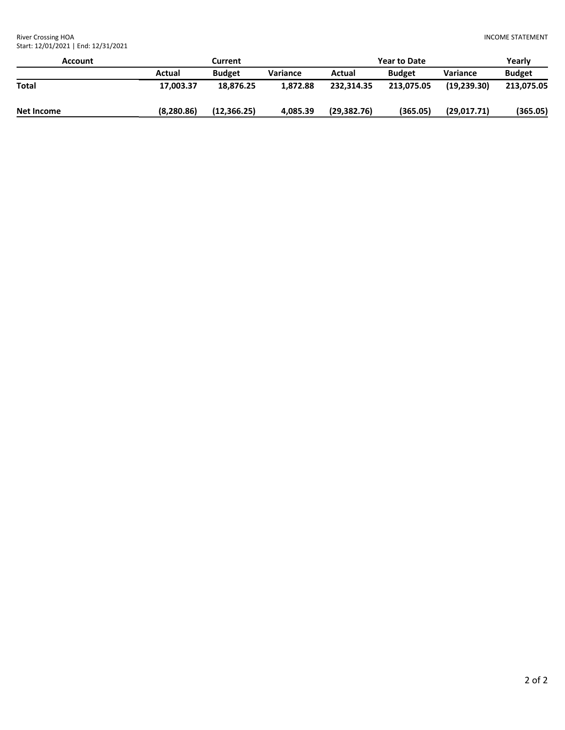River Crossing HOA Start: 12/01/2021 | End: 12/31/2021

| Account      | Current     |               |          | <b>Year to Date</b> | Yearly        |             |               |
|--------------|-------------|---------------|----------|---------------------|---------------|-------------|---------------|
|              | Actual      | <b>Budget</b> | Variance | Actual              | <b>Budget</b> | Variance    | <b>Budget</b> |
| <b>Total</b> | 17,003.37   | 18.876.25     | 1,872.88 | 232.314.35          | 213.075.05    | (19.239.30) | 213,075.05    |
| Net Income   | (8, 280.86) | (12, 366.25)  | 4,085.39 | (29, 382.76)        | (365.05)      | (29,017.71) | (365.05)      |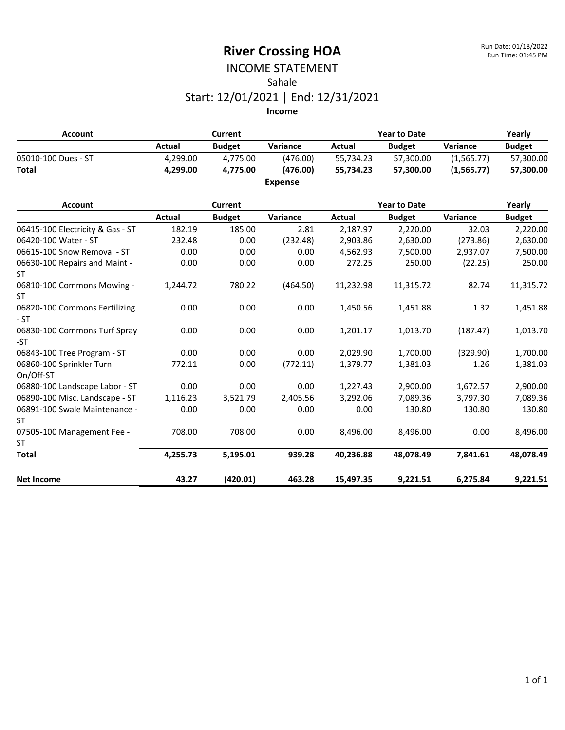### INCOME STATEMENT Sahale Start: 12/01/2021 | End: 12/31/2021

| Account             |          | <b>Year to Date</b><br>Current |          |           | Yearly        |            |               |
|---------------------|----------|--------------------------------|----------|-----------|---------------|------------|---------------|
|                     | Actual   | <b>Budget</b>                  | Variance | Actual    | <b>Budget</b> | Variance   | <b>Budget</b> |
| 05010-100 Dues - ST | 4.299.00 | 4.775.00                       | (476.00) | 55.734.23 | 57.300.00     | (1.565.77) | 57,300.00     |
| <b>Total</b>        | 4.299.00 | 4.775.00                       | (476.00) | 55.734.23 | 57.300.00     | (1.565.77) | 57.300.00     |
|                     |          |                                | Expense  |           |               |            |               |

| <b>Account</b>                         |          | <b>Current</b> |          | <b>Year to Date</b> |               |          | Yearly        |
|----------------------------------------|----------|----------------|----------|---------------------|---------------|----------|---------------|
|                                        | Actual   | <b>Budget</b>  | Variance | Actual              | <b>Budget</b> | Variance | <b>Budget</b> |
| 06415-100 Electricity & Gas - ST       | 182.19   | 185.00         | 2.81     | 2,187.97            | 2,220.00      | 32.03    | 2,220.00      |
| 06420-100 Water - ST                   | 232.48   | 0.00           | (232.48) | 2,903.86            | 2,630.00      | (273.86) | 2,630.00      |
| 06615-100 Snow Removal - ST            | 0.00     | 0.00           | 0.00     | 4,562.93            | 7,500.00      | 2,937.07 | 7,500.00      |
| 06630-100 Repairs and Maint -<br>ST    | 0.00     | 0.00           | 0.00     | 272.25              | 250.00        | (22.25)  | 250.00        |
| 06810-100 Commons Mowing -<br>ST.      | 1,244.72 | 780.22         | (464.50) | 11,232.98           | 11,315.72     | 82.74    | 11,315.72     |
| 06820-100 Commons Fertilizing<br>$-ST$ | 0.00     | 0.00           | 0.00     | 1,450.56            | 1,451.88      | 1.32     | 1,451.88      |
| 06830-100 Commons Turf Spray<br>-ST    | 0.00     | 0.00           | 0.00     | 1,201.17            | 1,013.70      | (187.47) | 1,013.70      |
| 06843-100 Tree Program - ST            | 0.00     | 0.00           | 0.00     | 2,029.90            | 1,700.00      | (329.90) | 1,700.00      |
| 06860-100 Sprinkler Turn<br>On/Off-ST  | 772.11   | 0.00           | (772.11) | 1,379.77            | 1,381.03      | 1.26     | 1,381.03      |
| 06880-100 Landscape Labor - ST         | 0.00     | 0.00           | 0.00     | 1,227.43            | 2,900.00      | 1,672.57 | 2,900.00      |
| 06890-100 Misc. Landscape - ST         | 1,116.23 | 3,521.79       | 2,405.56 | 3,292.06            | 7,089.36      | 3,797.30 | 7,089.36      |
| 06891-100 Swale Maintenance -<br>ST    | 0.00     | 0.00           | 0.00     | 0.00                | 130.80        | 130.80   | 130.80        |
| 07505-100 Management Fee -<br>ST       | 708.00   | 708.00         | 0.00     | 8,496.00            | 8,496.00      | 0.00     | 8,496.00      |
| <b>Total</b>                           | 4,255.73 | 5,195.01       | 939.28   | 40,236.88           | 48,078.49     | 7,841.61 | 48,078.49     |
| <b>Net Income</b>                      | 43.27    | (420.01)       | 463.28   | 15,497.35           | 9,221.51      | 6,275.84 | 9,221.51      |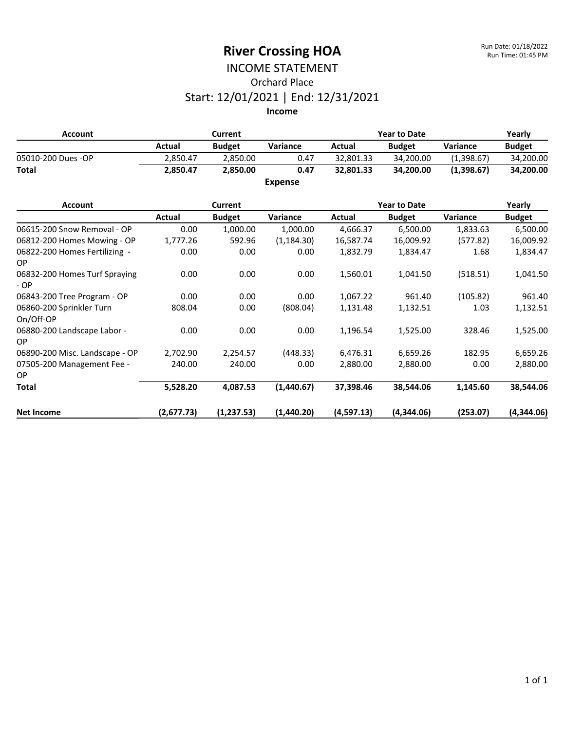# INCOME STATEMENT Orchard Place Start: 12/01/2021 | End: 12/31/2021

| <b>Account</b>                             | <b>Current</b> |                |                | <b>Year to Date</b> |                     |                 | Yearly        |
|--------------------------------------------|----------------|----------------|----------------|---------------------|---------------------|-----------------|---------------|
|                                            | Actual         | <b>Budget</b>  | Variance       | Actual              | <b>Budget</b>       | <b>Variance</b> | <b>Budget</b> |
| 05010-200 Dues -OP                         | 2,850.47       | 2,850.00       | 0.47           | 32,801.33           | 34,200.00           | (1,398.67)      | 34,200.00     |
| <b>Total</b>                               | 2,850.47       | 2,850.00       | 0.47           | 32,801.33           | 34,200.00           | (1,398.67)      | 34,200.00     |
|                                            |                |                | <b>Expense</b> |                     |                     |                 |               |
| <b>Account</b>                             |                | <b>Current</b> |                |                     | <b>Year to Date</b> |                 | Yearly        |
|                                            | Actual         | <b>Budget</b>  | Variance       | <b>Actual</b>       | <b>Budget</b>       | Variance        | <b>Budget</b> |
| 06615-200 Snow Removal - OP                | 0.00           | 1,000.00       | 1,000.00       | 4,666.37            | 6,500.00            | 1,833.63        | 6,500.00      |
| 06812-200 Homes Mowing - OP                | 1,777.26       | 592.96         | (1, 184.30)    | 16,587.74           | 16,009.92           | (577.82)        | 16,009.92     |
| 06822-200 Homes Fertilizing -<br><b>OP</b> | 0.00           | 0.00           | 0.00           | 1,832.79            | 1,834.47            | 1.68            | 1,834.47      |
| 06832-200 Homes Turf Spraying<br>$-OP$     | 0.00           | 0.00           | 0.00           | 1,560.01            | 1,041.50            | (518.51)        | 1,041.50      |
| 06843-200 Tree Program - OP                | 0.00           | 0.00           | 0.00           | 1,067.22            | 961.40              | (105.82)        | 961.40        |
| 06860-200 Sprinkler Turn<br>On/Off-OP      | 808.04         | 0.00           | (808.04)       | 1,131.48            | 1,132.51            | 1.03            | 1,132.51      |
| 06880-200 Landscape Labor -<br><b>OP</b>   | 0.00           | 0.00           | 0.00           | 1,196.54            | 1,525.00            | 328.46          | 1,525.00      |
| 06890-200 Misc. Landscape - OP             | 2,702.90       | 2,254.57       | (448.33)       | 6,476.31            | 6,659.26            | 182.95          | 6,659.26      |
| 07505-200 Management Fee -<br><b>OP</b>    | 240.00         | 240.00         | 0.00           | 2,880.00            | 2,880.00            | 0.00            | 2,880.00      |
| <b>Total</b>                               | 5,528.20       | 4,087.53       | (1,440.67)     | 37,398.46           | 38,544.06           | 1,145.60        | 38,544.06     |
| <b>Net Income</b>                          | (2,677.73)     | (1, 237.53)    | (1,440.20)     | (4,597.13)          | (4,344.06)          | (253.07)        | (4,344.06)    |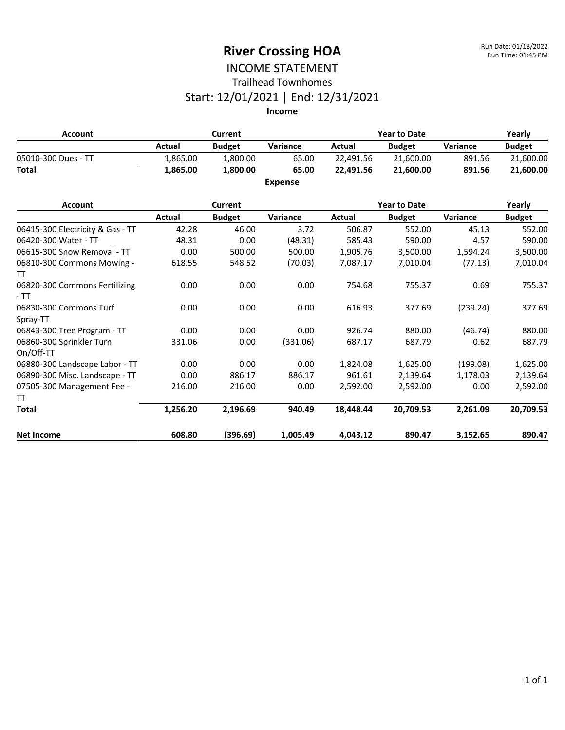#### INCOME STATEMENT Trailhead Townhomes

### Start: 12/01/2021 | End: 12/31/2021

| <b>Account</b>                         | <b>Current</b> |               |                | <b>Year to Date</b> |                     |          | Yearly        |
|----------------------------------------|----------------|---------------|----------------|---------------------|---------------------|----------|---------------|
|                                        | <b>Actual</b>  | <b>Budget</b> | Variance       | Actual              | <b>Budget</b>       | Variance | <b>Budget</b> |
| 05010-300 Dues - TT                    | 1,865.00       | 1,800.00      | 65.00          | 22,491.56           | 21,600.00           | 891.56   | 21,600.00     |
| <b>Total</b>                           | 1,865.00       | 1,800.00      | 65.00          | 22,491.56           | 21,600.00           | 891.56   | 21,600.00     |
|                                        |                |               | <b>Expense</b> |                     |                     |          |               |
| <b>Account</b>                         |                | Current       |                |                     | <b>Year to Date</b> |          | Yearly        |
|                                        | <b>Actual</b>  | <b>Budget</b> | Variance       | Actual              | <b>Budget</b>       | Variance | <b>Budget</b> |
| 06415-300 Electricity & Gas - TT       | 42.28          | 46.00         | 3.72           | 506.87              | 552.00              | 45.13    | 552.00        |
| 06420-300 Water - TT                   | 48.31          | 0.00          | (48.31)        | 585.43              | 590.00              | 4.57     | 590.00        |
| 06615-300 Snow Removal - TT            | 0.00           | 500.00        | 500.00         | 1,905.76            | 3,500.00            | 1,594.24 | 3,500.00      |
| 06810-300 Commons Mowing -<br>TT       | 618.55         | 548.52        | (70.03)        | 7,087.17            | 7,010.04            | (77.13)  | 7,010.04      |
| 06820-300 Commons Fertilizing<br>$-TT$ | 0.00           | 0.00          | 0.00           | 754.68              | 755.37              | 0.69     | 755.37        |
| 06830-300 Commons Turf<br>Spray-TT     | 0.00           | 0.00          | 0.00           | 616.93              | 377.69              | (239.24) | 377.69        |
| 06843-300 Tree Program - TT            | 0.00           | 0.00          | 0.00           | 926.74              | 880.00              | (46.74)  | 880.00        |
| 06860-300 Sprinkler Turn<br>On/Off-TT  | 331.06         | 0.00          | (331.06)       | 687.17              | 687.79              | 0.62     | 687.79        |
| 06880-300 Landscape Labor - TT         | 0.00           | 0.00          | 0.00           | 1,824.08            | 1,625.00            | (199.08) | 1,625.00      |
| 06890-300 Misc. Landscape - TT         | 0.00           | 886.17        | 886.17         | 961.61              | 2,139.64            | 1,178.03 | 2,139.64      |
| 07505-300 Management Fee -             | 216.00         | 216.00        | 0.00           | 2,592.00            | 2,592.00            | 0.00     | 2,592.00      |
| <b>TT</b>                              |                |               |                |                     |                     |          |               |
| <b>Total</b>                           | 1,256.20       | 2,196.69      | 940.49         | 18,448.44           | 20,709.53           | 2,261.09 | 20,709.53     |
| <b>Net Income</b>                      | 608.80         | (396.69)      | 1,005.49       | 4,043.12            | 890.47              | 3,152.65 | 890.47        |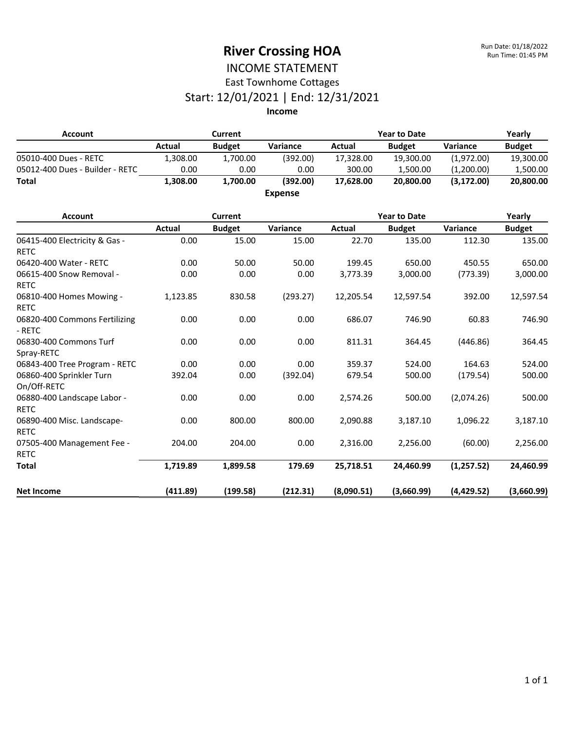#### INCOME STATEMENT East Townhome Cottages

### Start: 12/01/2021 | End: 12/31/2021

| <b>Account</b>                               | <b>Current</b> |                |                | <b>Year to Date</b> |                     |             | Yearly        |
|----------------------------------------------|----------------|----------------|----------------|---------------------|---------------------|-------------|---------------|
|                                              | <b>Actual</b>  | <b>Budget</b>  | Variance       | <b>Actual</b>       | <b>Budget</b>       | Variance    | <b>Budget</b> |
| 05010-400 Dues - RETC                        | 1,308.00       | 1,700.00       | (392.00)       | 17,328.00           | 19,300.00           | (1,972.00)  | 19,300.00     |
| 05012-400 Dues - Builder - RETC              | 0.00           | 0.00           | 0.00           | 300.00              | 1,500.00            | (1,200.00)  | 1,500.00      |
| <b>Total</b>                                 | 1,308.00       | 1,700.00       | (392.00)       | 17,628.00           | 20,800.00           | (3, 172.00) | 20,800.00     |
|                                              |                |                | <b>Expense</b> |                     |                     |             |               |
| <b>Account</b>                               |                | <b>Current</b> |                |                     | <b>Year to Date</b> |             | Yearly        |
|                                              | Actual         | <b>Budget</b>  | Variance       | <b>Actual</b>       | <b>Budget</b>       | Variance    | <b>Budget</b> |
| 06415-400 Electricity & Gas -<br><b>RETC</b> | 0.00           | 15.00          | 15.00          | 22.70               | 135.00              | 112.30      | 135.00        |
| 06420-400 Water - RETC                       | 0.00           | 50.00          | 50.00          | 199.45              | 650.00              | 450.55      | 650.00        |
| 06615-400 Snow Removal -<br><b>RETC</b>      | 0.00           | 0.00           | 0.00           | 3,773.39            | 3,000.00            | (773.39)    | 3,000.00      |
| 06810-400 Homes Mowing -<br><b>RETC</b>      | 1,123.85       | 830.58         | (293.27)       | 12,205.54           | 12,597.54           | 392.00      | 12,597.54     |
| 06820-400 Commons Fertilizing<br>- RETC      | 0.00           | 0.00           | 0.00           | 686.07              | 746.90              | 60.83       | 746.90        |
| 06830-400 Commons Turf<br>Spray-RETC         | 0.00           | 0.00           | 0.00           | 811.31              | 364.45              | (446.86)    | 364.45        |
| 06843-400 Tree Program - RETC                | 0.00           | 0.00           | 0.00           | 359.37              | 524.00              | 164.63      | 524.00        |
| 06860-400 Sprinkler Turn<br>On/Off-RETC      | 392.04         | 0.00           | (392.04)       | 679.54              | 500.00              | (179.54)    | 500.00        |
| 06880-400 Landscape Labor -<br><b>RETC</b>   | 0.00           | 0.00           | 0.00           | 2,574.26            | 500.00              | (2,074.26)  | 500.00        |
| 06890-400 Misc. Landscape-<br><b>RETC</b>    | 0.00           | 800.00         | 800.00         | 2,090.88            | 3,187.10            | 1,096.22    | 3,187.10      |
| 07505-400 Management Fee -<br><b>RETC</b>    | 204.00         | 204.00         | 0.00           | 2,316.00            | 2,256.00            | (60.00)     | 2,256.00      |
| <b>Total</b>                                 | 1,719.89       | 1,899.58       | 179.69         | 25,718.51           | 24,460.99           | (1, 257.52) | 24,460.99     |
| <b>Net Income</b>                            | (411.89)       | (199.58)       | (212.31)       | (8,090.51)          | (3,660.99)          | (4,429.52)  | (3,660.99)    |